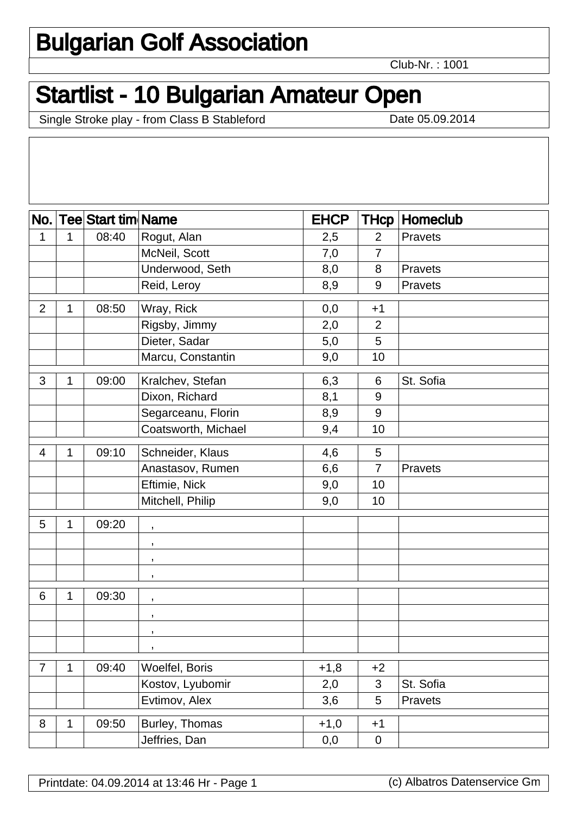## Bulgarian Golf Association

Club-Nr. : 1001

## Startlist - 10 Bulgarian Amateur Open

Single Stroke play - from Class B Stableford Date 05.09.2014

| Rogut, Alan<br>08:40<br>$\overline{2}$<br>1<br>1<br>2,5<br>Pravets<br>McNeil, Scott<br>7,0<br>$\overline{7}$<br>Underwood, Seth<br>8,0<br>8<br>Pravets<br>Reid, Leroy<br>8,9<br>$9\,$<br>Pravets<br>08:50<br>Wray, Rick<br>$\overline{2}$<br>0,0<br>$+1$<br>1<br>Rigsby, Jimmy<br>2,0<br>$\overline{2}$<br>Dieter, Sadar<br>5,0<br>5<br>Marcu, Constantin<br>9,0<br>10<br>3<br>6,3<br>St. Sofia<br>09:00<br>Kralchev, Stefan<br>1<br>6<br>Dixon, Richard<br>8,1<br>9<br>Segarceanu, Florin<br>$9\,$<br>8,9<br>Coatsworth, Michael<br>9,4<br>10<br>09:10<br>Schneider, Klaus<br>4,6<br>4<br>5<br>1<br>Anastasov, Rumen<br>6,6<br>Pravets<br>$\overline{7}$<br>Eftimie, Nick<br>9,0<br>10<br>Mitchell, Philip<br>9,0<br>10<br>09:20<br>5<br>1<br>$\,$<br>$\,$<br>$\,$<br>$\,$<br>6<br>09:30<br>1<br>$\,$<br>$\,$<br>$\,$<br>$\,$<br>09:40<br>Woelfel, Boris<br>$+1,8$<br>$\overline{7}$<br>$+2$<br>1<br>Kostov, Lyubomir<br>St. Sofia<br>3<br>2,0<br>Evtimov, Alex<br>3,6<br>5<br>Pravets | No. | <b>Tee Start tim Name</b> | <b>EHCP</b> | <b>THcp</b> | Homeclub |
|-----------------------------------------------------------------------------------------------------------------------------------------------------------------------------------------------------------------------------------------------------------------------------------------------------------------------------------------------------------------------------------------------------------------------------------------------------------------------------------------------------------------------------------------------------------------------------------------------------------------------------------------------------------------------------------------------------------------------------------------------------------------------------------------------------------------------------------------------------------------------------------------------------------------------------------------------------------------------------------------|-----|---------------------------|-------------|-------------|----------|
|                                                                                                                                                                                                                                                                                                                                                                                                                                                                                                                                                                                                                                                                                                                                                                                                                                                                                                                                                                                         |     |                           |             |             |          |
|                                                                                                                                                                                                                                                                                                                                                                                                                                                                                                                                                                                                                                                                                                                                                                                                                                                                                                                                                                                         |     |                           |             |             |          |
|                                                                                                                                                                                                                                                                                                                                                                                                                                                                                                                                                                                                                                                                                                                                                                                                                                                                                                                                                                                         |     |                           |             |             |          |
|                                                                                                                                                                                                                                                                                                                                                                                                                                                                                                                                                                                                                                                                                                                                                                                                                                                                                                                                                                                         |     |                           |             |             |          |
|                                                                                                                                                                                                                                                                                                                                                                                                                                                                                                                                                                                                                                                                                                                                                                                                                                                                                                                                                                                         |     |                           |             |             |          |
|                                                                                                                                                                                                                                                                                                                                                                                                                                                                                                                                                                                                                                                                                                                                                                                                                                                                                                                                                                                         |     |                           |             |             |          |
|                                                                                                                                                                                                                                                                                                                                                                                                                                                                                                                                                                                                                                                                                                                                                                                                                                                                                                                                                                                         |     |                           |             |             |          |
|                                                                                                                                                                                                                                                                                                                                                                                                                                                                                                                                                                                                                                                                                                                                                                                                                                                                                                                                                                                         |     |                           |             |             |          |
|                                                                                                                                                                                                                                                                                                                                                                                                                                                                                                                                                                                                                                                                                                                                                                                                                                                                                                                                                                                         |     |                           |             |             |          |
|                                                                                                                                                                                                                                                                                                                                                                                                                                                                                                                                                                                                                                                                                                                                                                                                                                                                                                                                                                                         |     |                           |             |             |          |
|                                                                                                                                                                                                                                                                                                                                                                                                                                                                                                                                                                                                                                                                                                                                                                                                                                                                                                                                                                                         |     |                           |             |             |          |
|                                                                                                                                                                                                                                                                                                                                                                                                                                                                                                                                                                                                                                                                                                                                                                                                                                                                                                                                                                                         |     |                           |             |             |          |
|                                                                                                                                                                                                                                                                                                                                                                                                                                                                                                                                                                                                                                                                                                                                                                                                                                                                                                                                                                                         |     |                           |             |             |          |
|                                                                                                                                                                                                                                                                                                                                                                                                                                                                                                                                                                                                                                                                                                                                                                                                                                                                                                                                                                                         |     |                           |             |             |          |
|                                                                                                                                                                                                                                                                                                                                                                                                                                                                                                                                                                                                                                                                                                                                                                                                                                                                                                                                                                                         |     |                           |             |             |          |
|                                                                                                                                                                                                                                                                                                                                                                                                                                                                                                                                                                                                                                                                                                                                                                                                                                                                                                                                                                                         |     |                           |             |             |          |
|                                                                                                                                                                                                                                                                                                                                                                                                                                                                                                                                                                                                                                                                                                                                                                                                                                                                                                                                                                                         |     |                           |             |             |          |
|                                                                                                                                                                                                                                                                                                                                                                                                                                                                                                                                                                                                                                                                                                                                                                                                                                                                                                                                                                                         |     |                           |             |             |          |
|                                                                                                                                                                                                                                                                                                                                                                                                                                                                                                                                                                                                                                                                                                                                                                                                                                                                                                                                                                                         |     |                           |             |             |          |
|                                                                                                                                                                                                                                                                                                                                                                                                                                                                                                                                                                                                                                                                                                                                                                                                                                                                                                                                                                                         |     |                           |             |             |          |
|                                                                                                                                                                                                                                                                                                                                                                                                                                                                                                                                                                                                                                                                                                                                                                                                                                                                                                                                                                                         |     |                           |             |             |          |
|                                                                                                                                                                                                                                                                                                                                                                                                                                                                                                                                                                                                                                                                                                                                                                                                                                                                                                                                                                                         |     |                           |             |             |          |
|                                                                                                                                                                                                                                                                                                                                                                                                                                                                                                                                                                                                                                                                                                                                                                                                                                                                                                                                                                                         |     |                           |             |             |          |
|                                                                                                                                                                                                                                                                                                                                                                                                                                                                                                                                                                                                                                                                                                                                                                                                                                                                                                                                                                                         |     |                           |             |             |          |
|                                                                                                                                                                                                                                                                                                                                                                                                                                                                                                                                                                                                                                                                                                                                                                                                                                                                                                                                                                                         |     |                           |             |             |          |
|                                                                                                                                                                                                                                                                                                                                                                                                                                                                                                                                                                                                                                                                                                                                                                                                                                                                                                                                                                                         |     |                           |             |             |          |
|                                                                                                                                                                                                                                                                                                                                                                                                                                                                                                                                                                                                                                                                                                                                                                                                                                                                                                                                                                                         |     |                           |             |             |          |
| Burley, Thomas<br>8<br>09:50<br>$+1,0$<br>$\mathbf{1}$<br>$+1$                                                                                                                                                                                                                                                                                                                                                                                                                                                                                                                                                                                                                                                                                                                                                                                                                                                                                                                          |     |                           |             |             |          |
| Jeffries, Dan<br>0,0<br>$\mathbf 0$                                                                                                                                                                                                                                                                                                                                                                                                                                                                                                                                                                                                                                                                                                                                                                                                                                                                                                                                                     |     |                           |             |             |          |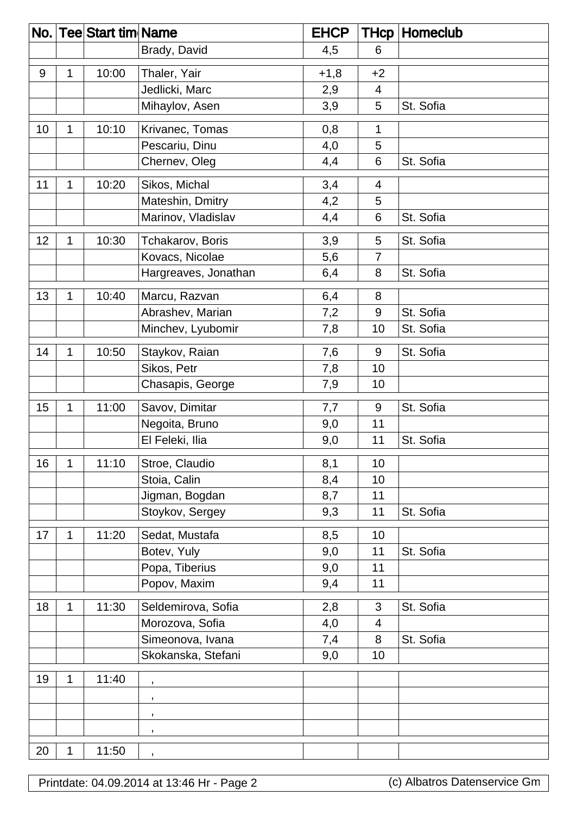| No. |   | <b>Tee Start tim Name</b> |                      | <b>EHCP</b> |                | <b>THcp Homeclub</b> |
|-----|---|---------------------------|----------------------|-------------|----------------|----------------------|
|     |   |                           | Brady, David         | 4,5         | 6              |                      |
| 9   | 1 | 10:00                     | Thaler, Yair         | $+1,8$      | $+2$           |                      |
|     |   |                           | Jedlicki, Marc       | 2,9         | 4              |                      |
|     |   |                           | Mihaylov, Asen       | 3,9         | 5              | St. Sofia            |
| 10  | 1 | 10:10                     | Krivanec, Tomas      | 0,8         | 1              |                      |
|     |   |                           | Pescariu, Dinu       | 4,0         | 5              |                      |
|     |   |                           | Chernev, Oleg        | 4,4         | 6              | St. Sofia            |
| 11  | 1 | 10:20                     | Sikos, Michal        | 3,4         | 4              |                      |
|     |   |                           | Mateshin, Dmitry     | 4,2         | 5              |                      |
|     |   |                           | Marinov, Vladislav   | 4,4         | 6              | St. Sofia            |
| 12  | 1 | 10:30                     | Tchakarov, Boris     | 3,9         | 5              | St. Sofia            |
|     |   |                           | Kovacs, Nicolae      | 5,6         | $\overline{7}$ |                      |
|     |   |                           | Hargreaves, Jonathan | 6,4         | 8              | St. Sofia            |
| 13  | 1 | 10:40                     | Marcu, Razvan        | 6,4         | 8              |                      |
|     |   |                           | Abrashev, Marian     | 7,2         | 9              | St. Sofia            |
|     |   |                           | Minchev, Lyubomir    | 7,8         | 10             | St. Sofia            |
| 14  | 1 | 10:50                     | Staykov, Raian       | 7,6         | 9              | St. Sofia            |
|     |   |                           | Sikos, Petr          | 7,8         | 10             |                      |
|     |   |                           | Chasapis, George     | 7,9         | 10             |                      |
| 15  | 1 | 11:00                     | Savov, Dimitar       | 7,7         | 9              | St. Sofia            |
|     |   |                           | Negoita, Bruno       | 9,0         | 11             |                      |
|     |   |                           | El Feleki, Ilia      | 9,0         | 11             | St. Sofia            |
| 16  | 1 | 11:10                     | Stroe, Claudio       | 8,1         | 10             |                      |
|     |   |                           | Stoia, Calin         | 8,4         | 10             |                      |
|     |   |                           | Jigman, Bogdan       | 8,7         | 11             |                      |
|     |   |                           | Stoykov, Sergey      | 9,3         | 11             | St. Sofia            |
| 17  | 1 | 11:20                     | Sedat, Mustafa       | 8,5         | 10             |                      |
|     |   |                           | Botev, Yuly          | 9,0         | 11             | St. Sofia            |
|     |   |                           | Popa, Tiberius       | 9,0         | 11             |                      |
|     |   |                           | Popov, Maxim         | 9,4         | 11             |                      |
| 18  | 1 | 11:30                     | Seldemirova, Sofia   | 2,8         | 3              | St. Sofia            |
|     |   |                           | Morozova, Sofia      | 4,0         | 4              |                      |
|     |   |                           | Simeonova, Ivana     | 7,4         | 8              | St. Sofia            |
|     |   |                           | Skokanska, Stefani   | 9,0         | 10             |                      |
| 19  | 1 | 11:40                     | $\,$                 |             |                |                      |
|     |   |                           | $\,$                 |             |                |                      |
|     |   |                           | $\,$                 |             |                |                      |
|     |   |                           | $\,$                 |             |                |                      |
| 20  | 1 | 11:50                     | $\,$                 |             |                |                      |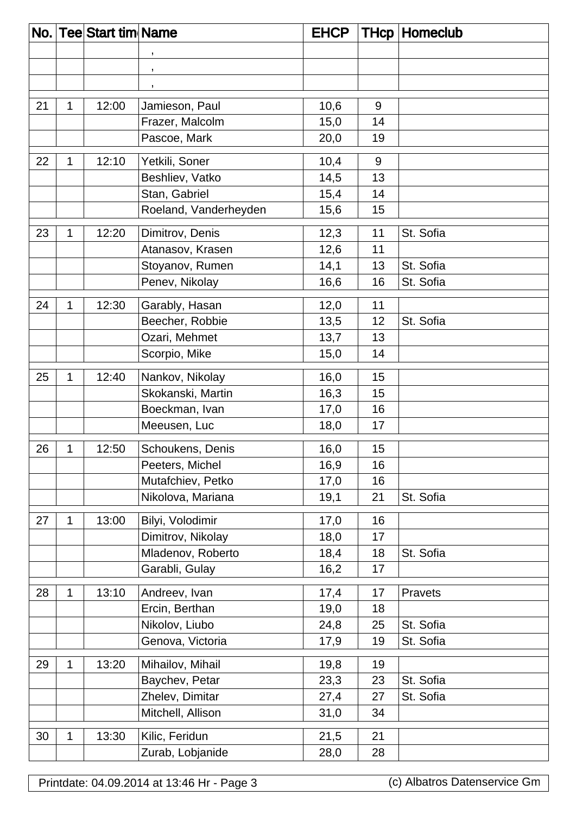| No. |   | <b>Tee Start tim Name</b> |                       | <b>EHCP</b> | <b>THcp</b> | Homeclub  |
|-----|---|---------------------------|-----------------------|-------------|-------------|-----------|
|     |   |                           | $\,$                  |             |             |           |
|     |   |                           | $\,$                  |             |             |           |
|     |   |                           | $\,$                  |             |             |           |
| 21  | 1 | 12:00                     | Jamieson, Paul        | 10,6        | 9           |           |
|     |   |                           | Frazer, Malcolm       | 15,0        | 14          |           |
|     |   |                           | Pascoe, Mark          | 20,0        | 19          |           |
| 22  | 1 | 12:10                     | Yetkili, Soner        | 10,4        | 9           |           |
|     |   |                           | Beshliev, Vatko       | 14,5        | 13          |           |
|     |   |                           | Stan, Gabriel         | 15,4        | 14          |           |
|     |   |                           | Roeland, Vanderheyden | 15,6        | 15          |           |
| 23  | 1 | 12:20                     | Dimitrov, Denis       | 12,3        | 11          | St. Sofia |
|     |   |                           | Atanasov, Krasen      | 12,6        | 11          |           |
|     |   |                           | Stoyanov, Rumen       | 14,1        | 13          | St. Sofia |
|     |   |                           | Penev, Nikolay        | 16,6        | 16          | St. Sofia |
|     |   |                           |                       |             |             |           |
| 24  | 1 | 12:30                     | Garably, Hasan        | 12,0        | 11          |           |
|     |   |                           | Beecher, Robbie       | 13,5        | 12          | St. Sofia |
|     |   |                           | Ozari, Mehmet         | 13,7        | 13          |           |
|     |   |                           | Scorpio, Mike         | 15,0        | 14          |           |
| 25  | 1 | 12:40                     | Nankov, Nikolay       | 16,0        | 15          |           |
|     |   |                           | Skokanski, Martin     | 16,3        | 15          |           |
|     |   |                           | Boeckman, Ivan        | 17,0        | 16          |           |
|     |   |                           | Meeusen, Luc          | 18,0        | 17          |           |
| 26  | 1 | 12:50                     | Schoukens, Denis      | 16,0        | 15          |           |
|     |   |                           | Peeters, Michel       | 16,9        | 16          |           |
|     |   |                           | Mutafchiev, Petko     | 17,0        | 16          |           |
|     |   |                           | Nikolova, Mariana     | 19,1        | 21          | St. Sofia |
| 27  | 1 | 13:00                     | Bilyi, Volodimir      | 17,0        | 16          |           |
|     |   |                           | Dimitrov, Nikolay     | 18,0        | 17          |           |
|     |   |                           | Mladenov, Roberto     | 18,4        | 18          | St. Sofia |
|     |   |                           | Garabli, Gulay        | 16,2        | 17          |           |
| 28  | 1 | 13:10                     | Andreev, Ivan         | 17,4        | 17          | Pravets   |
|     |   |                           | Ercin, Berthan        | 19,0        | 18          |           |
|     |   |                           | Nikolov, Liubo        | 24,8        | 25          | St. Sofia |
|     |   |                           | Genova, Victoria      | 17,9        | 19          | St. Sofia |
| 29  | 1 | 13:20                     | Mihailov, Mihail      | 19,8        | 19          |           |
|     |   |                           | Baychev, Petar        | 23,3        | 23          | St. Sofia |
|     |   |                           | Zhelev, Dimitar       | 27,4        | 27          | St. Sofia |
|     |   |                           | Mitchell, Allison     | 31,0        | 34          |           |
| 30  | 1 | 13:30                     | Kilic, Feridun        | 21,5        | 21          |           |
|     |   |                           | Zurab, Lobjanide      | 28,0        | 28          |           |
|     |   |                           |                       |             |             |           |